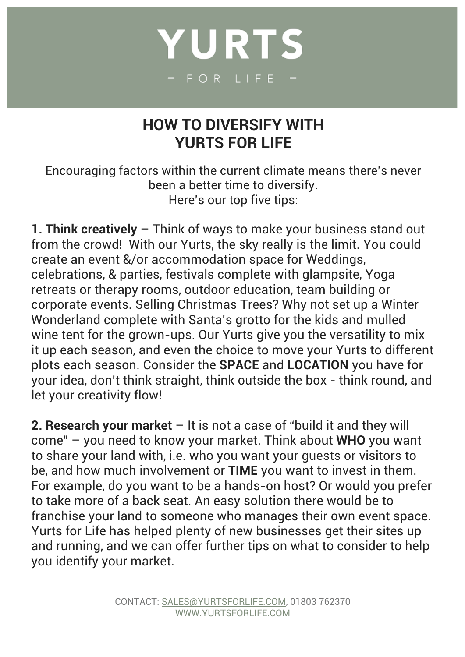## YURTS - FOR LIFE

## **HOW TO DIVERSIFY WITH YURTS FOR LIFE**

Encouraging factors within the current climate means there's never been a better time to diversify. Here's our top five tips:

**1. Think creatively** – Think of ways to make your business stand out from the crowd! With our Yurts, the sky really is the limit. You could create an event &/or accommodation space for Weddings, celebrations, & parties, festivals complete with glampsite, Yoga retreats or therapy rooms, outdoor education, team building or corporate events. Selling Christmas Trees? Why not set up a Winter Wonderland complete with Santa's grotto for the kids and mulled wine tent for the grown-ups. Our Yurts give you the versatility to mix it up each season, and even the choice to move your Yurts to different plots each season. Consider the **SPACE** and **LOCATION** you have for your idea, don't think straight, think outside the box - think round, and let your creativity flow!

**2. Research your market** – It is not a case of "build it and they will come" – you need to know your market. Think about **WHO** you want to share your land with, i.e. who you want your guests or visitors to be, and how much involvement or **TIME** you want to invest in them. For example, do you want to be a hands-on host? Or would you prefer to take more of a back seat. An easy solution there would be to franchise your land to someone who manages their own event space. Yurts for Life has helped plenty of new businesses get their sites up and running, and we can offer further tips on what to consider to help you identify your market.